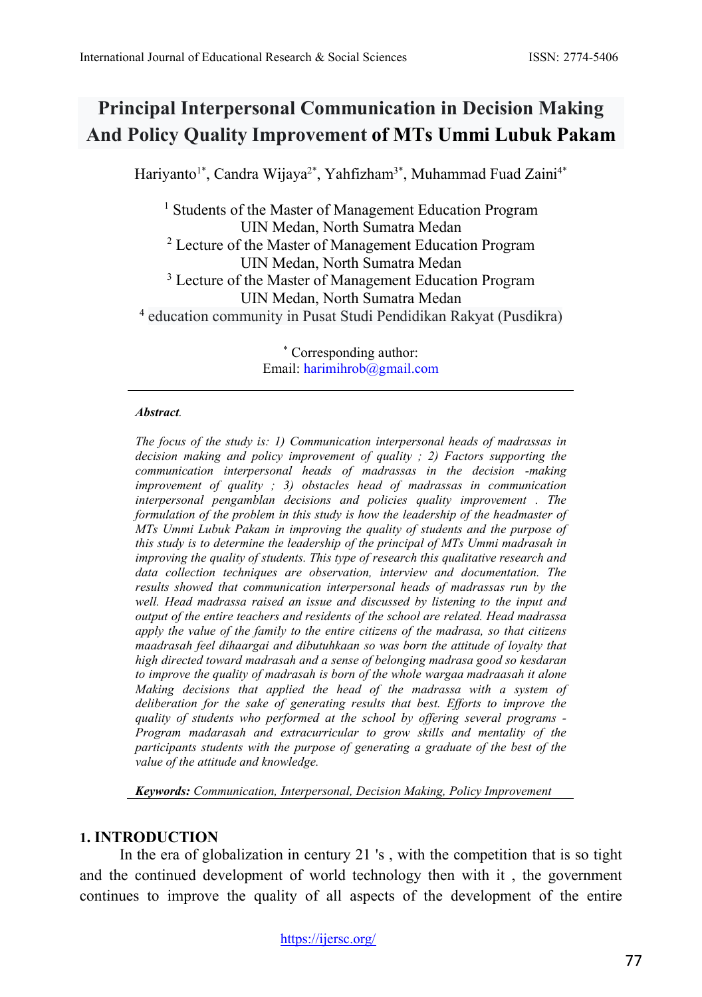# **Principal Interpersonal Communication in Decision Making And Policy Quality Improvement of MTs Ummi Lubuk Pakam**

Hariyanto<sup>1\*</sup>, Candra Wijaya<sup>2\*</sup>, Yahfizham<sup>3\*</sup>, Muhammad Fuad Zaini<sup>4\*</sup>

<sup>1</sup> Students of the Master of Management Education Program UIN Medan, North Sumatra Medan <sup>2</sup> Lecture of the Master of Management Education Program UIN Medan, North Sumatra Medan <sup>3</sup> Lecture of the Master of Management Education Program UIN Medan, North Sumatra Medan <sup>4</sup> education community in Pusat Studi Pendidikan Rakyat (Pusdikra)

> \* Corresponding author: Email: [harimihrob@gmail.com](mailto:harimihrob@gmail.com)

#### *Abstract.*

*The focus of the study is: 1) Communication interpersonal heads of madrassas in decision making and policy improvement of quality ; 2) Factors supporting the communication interpersonal heads of madrassas in the decision -making improvement of quality ; 3) obstacles head of madrassas in communication interpersonal pengamblan decisions and policies quality improvement . The formulation of the problem in this study is how the leadership of the headmaster of MTs Ummi Lubuk Pakam in improving the quality of students and the purpose of this study is to determine the leadership of the principal of MTs Ummi madrasah in improving the quality of students. This type of research this qualitative research and data collection techniques are observation, interview and documentation. The results showed that communication interpersonal heads of madrassas run by the well. Head madrassa raised an issue and discussed by listening to the input and output of the entire teachers and residents of the school are related. Head madrassa apply the value of the family to the entire citizens of the madrasa, so that citizens maadrasah feel dihaargai and dibutuhkaan so was born the attitude of loyalty that high directed toward madrasah and a sense of belonging madrasa good so kesdaran to improve the quality of madrasah is born of the whole wargaa madraasah it alone Making decisions that applied the head of the madrassa with a system of deliberation for the sake of generating results that best. Efforts to improve the quality of students who performed at the school by offering several programs - Program madarasah and extracurricular to grow skills and mentality of the participants students with the purpose of generating a graduate of the best of the value of the attitude and knowledge.* 

*Keywords: Communication, Interpersonal, Decision Making, Policy Improvement*

### **1. INTRODUCTION**

In the era of globalization in century 21 's , with the competition that is so tight and the continued development of world technology then with it , the government continues to improve the quality of all aspects of the development of the entire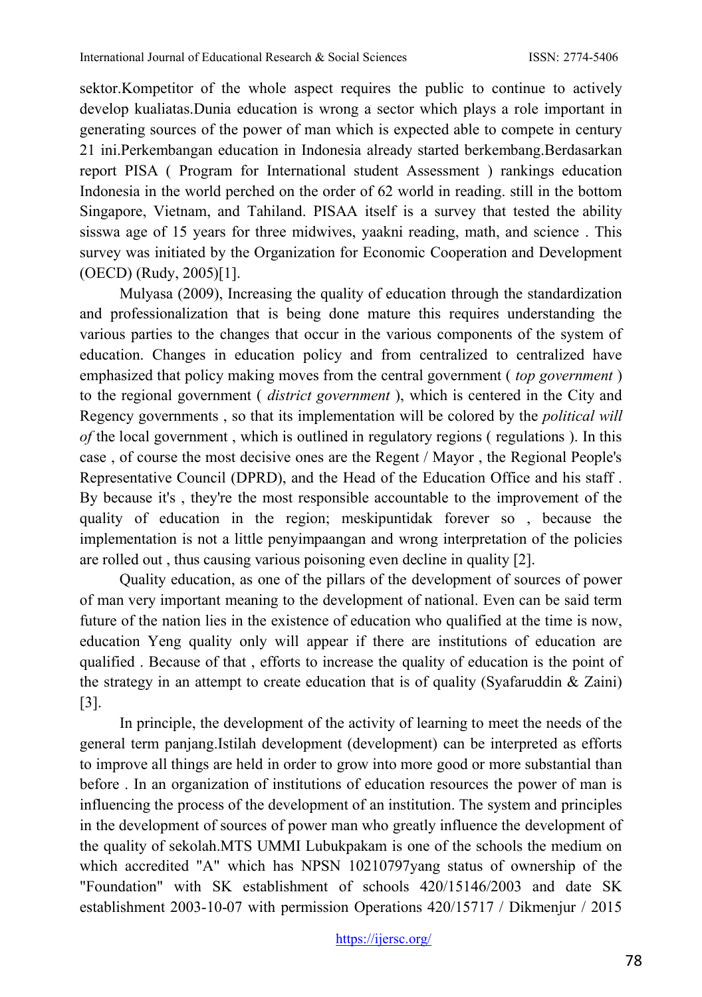sektor.Kompetitor of the whole aspect requires the public to continue to actively develop kualiatas.Dunia education is wrong a sector which plays a role important in generating sources of the power of man which is expected able to compete in century 21 ini.Perkembangan education in Indonesia already started berkembang.Berdasarkan report PISA ( Program for International student Assessment ) rankings education Indonesia in the world perched on the order of 62 world in reading. still in the bottom Singapore, Vietnam, and Tahiland. PISAA itself is a survey that tested the ability sisswa age of 15 years for three midwives, yaakni reading, math, and science . This survey was initiated by the Organization for Economic Cooperation and Development (OECD) (Rudy, 2005)[1].

Mulyasa (2009), Increasing the quality of education through the standardization and professionalization that is being done mature this requires understanding the various parties to the changes that occur in the various components of the system of education. Changes in education policy and from centralized to centralized have emphasized that policy making moves from the central government ( *top government* ) to the regional government ( *district government* ), which is centered in the City and Regency governments , so that its implementation will be colored by the *political will of* the local government , which is outlined in regulatory regions ( regulations ). In this case , of course the most decisive ones are the Regent / Mayor , the Regional People's Representative Council (DPRD), and the Head of the Education Office and his staff . By because it's , they're the most responsible accountable to the improvement of the quality of education in the region; meskipuntidak forever so , because the implementation is not a little penyimpaangan and wrong interpretation of the policies are rolled out , thus causing various poisoning even decline in quality [2].

Quality education, as one of the pillars of the development of sources of power of man very important meaning to the development of national. Even can be said term future of the nation lies in the existence of education who qualified at the time is now, education Yeng quality only will appear if there are institutions of education are qualified . Because of that , efforts to increase the quality of education is the point of the strategy in an attempt to create education that is of quality (Syafaruddin  $\&$  Zaini) [3].

In principle, the development of the activity of learning to meet the needs of the general term panjang.Istilah development (development) can be interpreted as efforts to improve all things are held in order to grow into more good or more substantial than before . In an organization of institutions of education resources the power of man is influencing the process of the development of an institution. The system and principles in the development of sources of power man who greatly influence the development of the quality of sekolah.MTS UMMI Lubukpakam is one of the schools the medium on which accredited "A" which has NPSN 10210797yang status of ownership of the "Foundation" with SK establishment of schools 420/15146/2003 and date SK establishment 2003-10-07 with permission Operations 420/15717 / Dikmenjur / 2015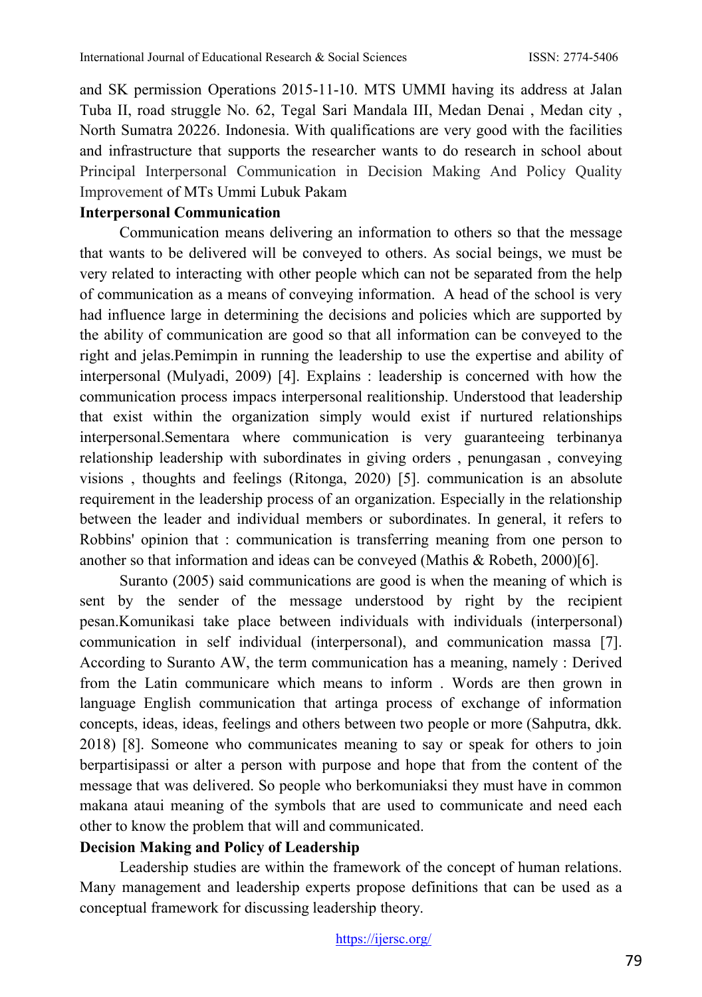and SK permission Operations 2015-11-10. MTS UMMI having its address at Jalan Tuba II, road struggle No. 62, Tegal Sari Mandala III, Medan Denai , Medan city , North Sumatra 20226. Indonesia. With qualifications are very good with the facilities and infrastructure that supports the researcher wants to do research in school about Principal Interpersonal Communication in Decision Making And Policy Quality Improvement of MTs Ummi Lubuk Pakam

#### **Interpersonal Communication**

Communication means delivering an information to others so that the message that wants to be delivered will be conveyed to others. As social beings, we must be very related to interacting with other people which can not be separated from the help of communication as a means of conveying information. A head of the school is very had influence large in determining the decisions and policies which are supported by the ability of communication are good so that all information can be conveyed to the right and jelas.Pemimpin in running the leadership to use the expertise and ability of interpersonal (Mulyadi, 2009) [4]. Explains : leadership is concerned with how the communication process impacs interpersonal realitionship. Understood that leadership that exist within the organization simply would exist if nurtured relationships interpersonal.Sementara where communication is very guaranteeing terbinanya relationship leadership with subordinates in giving orders , penungasan , conveying visions , thoughts and feelings (Ritonga, 2020) [5]. communication is an absolute requirement in the leadership process of an organization. Especially in the relationship between the leader and individual members or subordinates. In general, it refers to Robbins' opinion that : communication is transferring meaning from one person to another so that information and ideas can be conveyed (Mathis & Robeth, 2000)[6].

Suranto (2005) said communications are good is when the meaning of which is sent by the sender of the message understood by right by the recipient pesan.Komunikasi take place between individuals with individuals (interpersonal) communication in self individual (interpersonal), and communication massa [7]. According to Suranto AW, the term communication has a meaning, namely : Derived from the Latin communicare which means to inform . Words are then grown in language English communication that artinga process of exchange of information concepts, ideas, ideas, feelings and others between two people or more (Sahputra, dkk. 2018) [8]. Someone who communicates meaning to say or speak for others to join berpartisipassi or alter a person with purpose and hope that from the content of the message that was delivered. So people who berkomuniaksi they must have in common makana ataui meaning of the symbols that are used to communicate and need each other to know the problem that will and communicated.

### **Decision Making and Policy of Leadership**

Leadership studies are within the framework of the concept of human relations. Many management and leadership experts propose definitions that can be used as a conceptual framework for discussing leadership theory.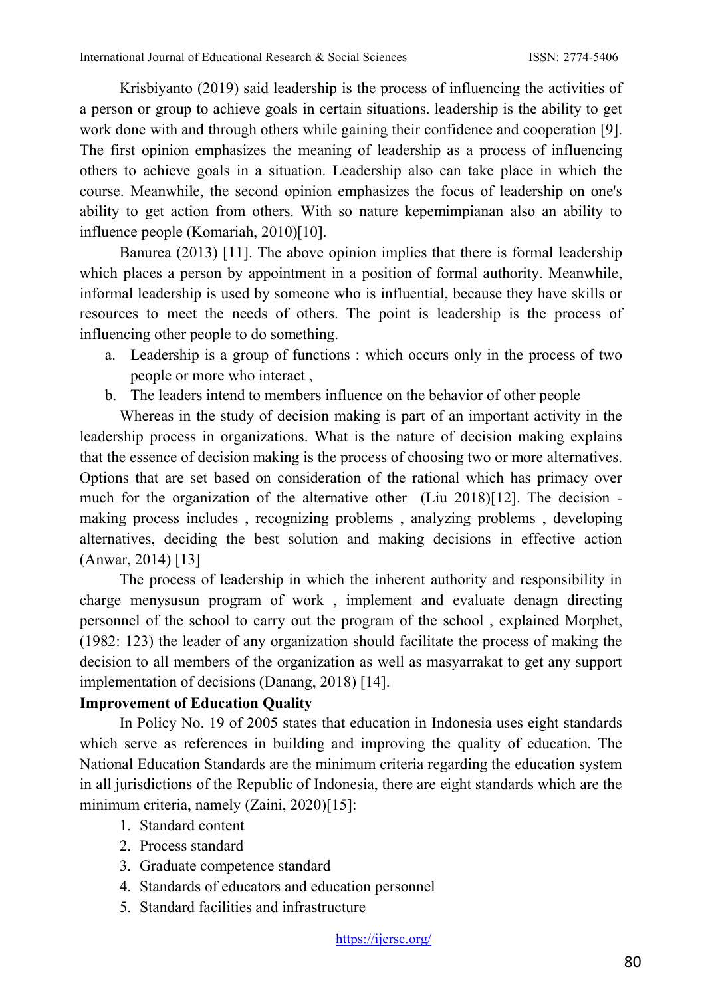Krisbiyanto (2019) said leadership is the process of influencing the activities of a person or group to achieve goals in certain situations. leadership is the ability to get work done with and through others while gaining their confidence and cooperation [9]. The first opinion emphasizes the meaning of leadership as a process of influencing others to achieve goals in a situation. Leadership also can take place in which the course. Meanwhile, the second opinion emphasizes the focus of leadership on one's ability to get action from others. With so nature kepemimpianan also an ability to influence people (Komariah, 2010)[10].

Banurea (2013) [11]. The above opinion implies that there is formal leadership which places a person by appointment in a position of formal authority. Meanwhile, informal leadership is used by someone who is influential, because they have skills or resources to meet the needs of others. The point is leadership is the process of influencing other people to do something.

- a. Leadership is a group of functions : which occurs only in the process of two people or more who interact ,
- b. The leaders intend to members influence on the behavior of other people

Whereas in the study of decision making is part of an important activity in the leadership process in organizations. What is the nature of decision making explains that the essence of decision making is the process of choosing two or more alternatives. Options that are set based on consideration of the rational which has primacy over much for the organization of the alternative other (Liu 2018)[12]. The decision making process includes , recognizing problems , analyzing problems , developing alternatives, deciding the best solution and making decisions in effective action (Anwar, 2014) [13]

The process of leadership in which the inherent authority and responsibility in charge menysusun program of work , implement and evaluate denagn directing personnel of the school to carry out the program of the school , explained Morphet, (1982: 123) the leader of any organization should facilitate the process of making the decision to all members of the organization as well as masyarrakat to get any support implementation of decisions (Danang, 2018) [14].

### **Improvement of Education Quality**

In Policy No. 19 of 2005 states that education in Indonesia uses eight standards which serve as references in building and improving the quality of education. The National Education Standards are the minimum criteria regarding the education system in all jurisdictions of the Republic of Indonesia, there are eight standards which are the minimum criteria, namely (Zaini, 2020)[15]:

- 1. Standard content
- 2. Process standard
- 3. Graduate competence standard
- 4. Standards of educators and education personnel
- 5. Standard facilities and infrastructure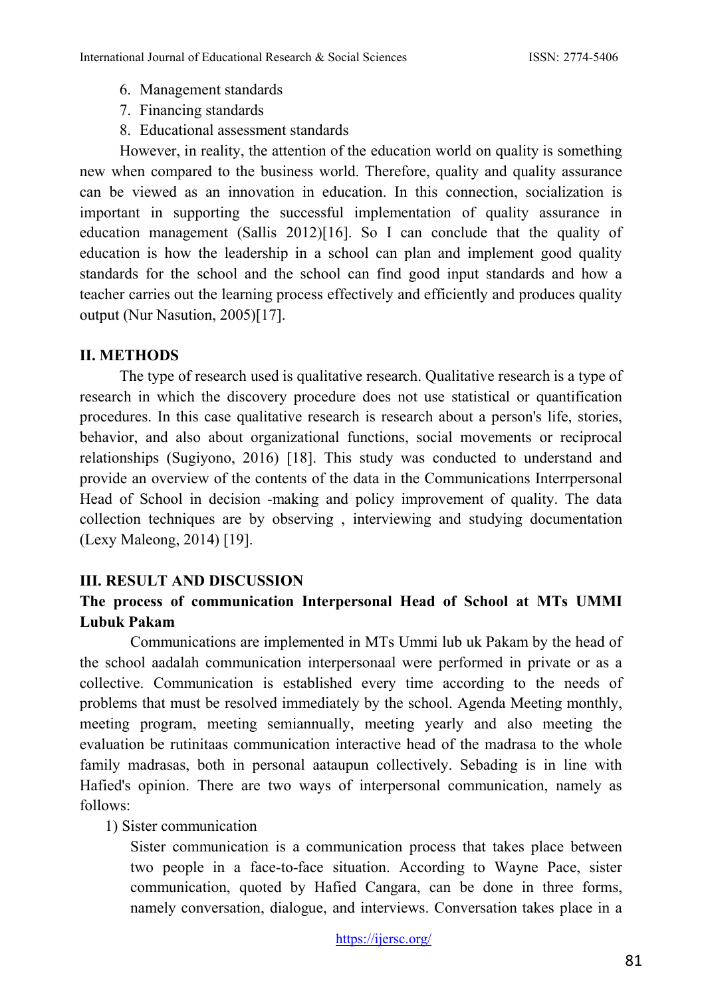- 6. Management standards
- 7. Financing standards
- 8. Educational assessment standards

However, in reality, the attention of the education world on quality is something new when compared to the business world. Therefore, quality and quality assurance can be viewed as an innovation in education. In this connection, socialization is important in supporting the successful implementation of quality assurance in education management (Sallis 2012)[16]. So I can conclude that the quality of education is how the leadership in a school can plan and implement good quality standards for the school and the school can find good input standards and how a teacher carries out the learning process effectively and efficiently and produces quality output (Nur Nasution, 2005)[17].

### **II. METHODS**

The type of research used is qualitative research. Qualitative research is a type of research in which the discovery procedure does not use statistical or quantification procedures. In this case qualitative research is research about a person's life, stories, behavior, and also about organizational functions, social movements or reciprocal relationships (Sugiyono, 2016) [18]. This study was conducted to understand and provide an overview of the contents of the data in the Communications Interrpersonal Head of School in decision -making and policy improvement of quality. The data collection techniques are by observing , interviewing and studying documentation (Lexy Maleong, 2014) [19].

### **III. RESULT AND DISCUSSION**

## **The process of communication Interpersonal Head of School at MTs UMMI Lubuk Pakam**

Communications are implemented in MTs Ummi lub uk Pakam by the head of the school aadalah communication interpersonaal were performed in private or as a collective. Communication is established every time according to the needs of problems that must be resolved immediately by the school. Agenda Meeting monthly, meeting program, meeting semiannually, meeting yearly and also meeting the evaluation be rutinitaas communication interactive head of the madrasa to the whole family madrasas, both in personal aataupun collectively. Sebading is in line with Hafied's opinion. There are two ways of interpersonal communication, namely as follows:

### 1) Sister communication

Sister communication is a communication process that takes place between two people in a face-to-face situation. According to Wayne Pace, sister communication, quoted by Hafied Cangara, can be done in three forms, namely conversation, dialogue, and interviews. Conversation takes place in a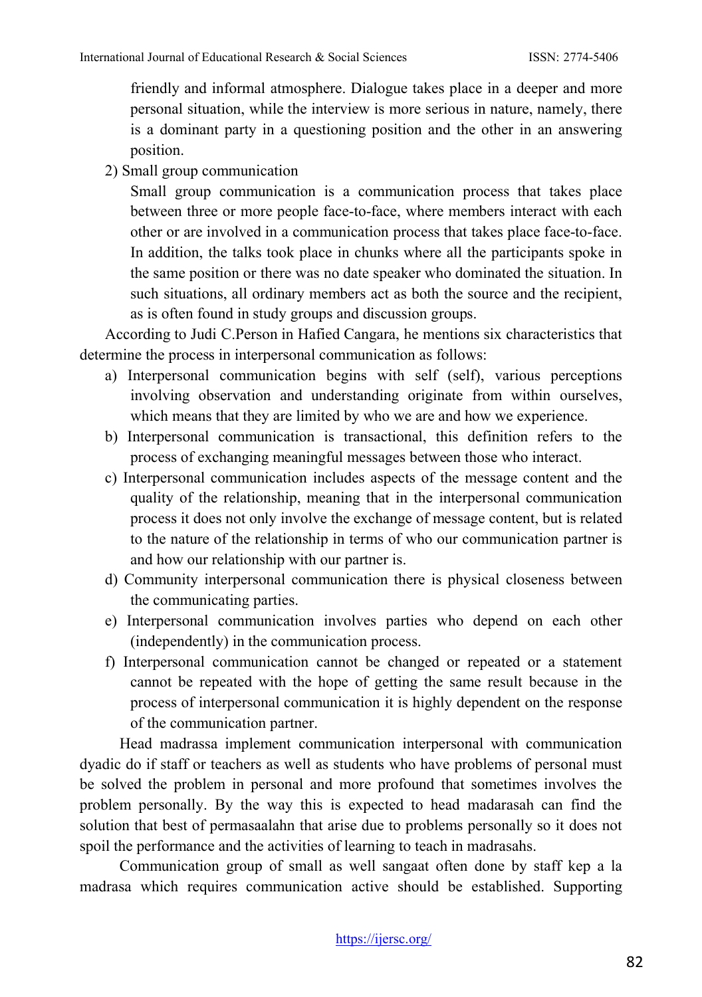friendly and informal atmosphere. Dialogue takes place in a deeper and more personal situation, while the interview is more serious in nature, namely, there is a dominant party in a questioning position and the other in an answering position.

2) Small group communication

Small group communication is a communication process that takes place between three or more people face-to-face, where members interact with each other or are involved in a communication process that takes place face-to-face. In addition, the talks took place in chunks where all the participants spoke in the same position or there was no date speaker who dominated the situation. In such situations, all ordinary members act as both the source and the recipient, as is often found in study groups and discussion groups.

According to Judi C.Person in Hafied Cangara, he mentions six characteristics that determine the process in interpersonal communication as follows:

- a) Interpersonal communication begins with self (self), various perceptions involving observation and understanding originate from within ourselves, which means that they are limited by who we are and how we experience.
- b) Interpersonal communication is transactional, this definition refers to the process of exchanging meaningful messages between those who interact.
- c) Interpersonal communication includes aspects of the message content and the quality of the relationship, meaning that in the interpersonal communication process it does not only involve the exchange of message content, but is related to the nature of the relationship in terms of who our communication partner is and how our relationship with our partner is.
- d) Community interpersonal communication there is physical closeness between the communicating parties.
- e) Interpersonal communication involves parties who depend on each other (independently) in the communication process.
- f) Interpersonal communication cannot be changed or repeated or a statement cannot be repeated with the hope of getting the same result because in the process of interpersonal communication it is highly dependent on the response of the communication partner.

Head madrassa implement communication interpersonal with communication dyadic do if staff or teachers as well as students who have problems of personal must be solved the problem in personal and more profound that sometimes involves the problem personally. By the way this is expected to head madarasah can find the solution that best of permasaalahn that arise due to problems personally so it does not spoil the performance and the activities of learning to teach in madrasahs.

Communication group of small as well sangaat often done by staff kep a la madrasa which requires communication active should be established. Supporting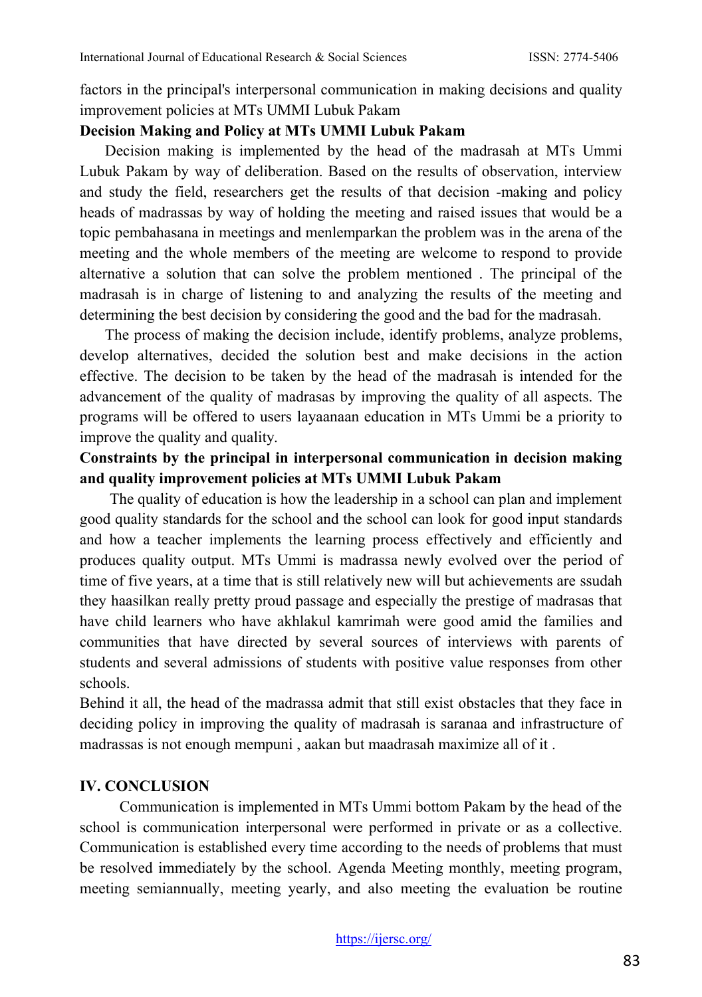factors in the principal's interpersonal communication in making decisions and quality improvement policies at MTs UMMI Lubuk Pakam

#### **Decision Making and Policy at MTs UMMI Lubuk Pakam**

Decision making is implemented by the head of the madrasah at MTs Ummi Lubuk Pakam by way of deliberation. Based on the results of observation, interview and study the field, researchers get the results of that decision -making and policy heads of madrassas by way of holding the meeting and raised issues that would be a topic pembahasana in meetings and menlemparkan the problem was in the arena of the meeting and the whole members of the meeting are welcome to respond to provide alternative a solution that can solve the problem mentioned . The principal of the madrasah is in charge of listening to and analyzing the results of the meeting and determining the best decision by considering the good and the bad for the madrasah.

The process of making the decision include, identify problems, analyze problems, develop alternatives, decided the solution best and make decisions in the action effective. The decision to be taken by the head of the madrasah is intended for the advancement of the quality of madrasas by improving the quality of all aspects. The programs will be offered to users layaanaan education in MTs Ummi be a priority to improve the quality and quality.

## **Constraints by the principal in interpersonal communication in decision making and quality improvement policies at MTs UMMI Lubuk Pakam**

The quality of education is how the leadership in a school can plan and implement good quality standards for the school and the school can look for good input standards and how a teacher implements the learning process effectively and efficiently and produces quality output. MTs Ummi is madrassa newly evolved over the period of time of five years, at a time that is still relatively new will but achievements are ssudah they haasilkan really pretty proud passage and especially the prestige of madrasas that have child learners who have akhlakul kamrimah were good amid the families and communities that have directed by several sources of interviews with parents of students and several admissions of students with positive value responses from other schools.

Behind it all, the head of the madrassa admit that still exist obstacles that they face in deciding policy in improving the quality of madrasah is saranaa and infrastructure of madrassas is not enough mempuni , aakan but maadrasah maximize all of it .

### **IV. CONCLUSION**

Communication is implemented in MTs Ummi bottom Pakam by the head of the school is communication interpersonal were performed in private or as a collective. Communication is established every time according to the needs of problems that must be resolved immediately by the school. Agenda Meeting monthly, meeting program, meeting semiannually, meeting yearly, and also meeting the evaluation be routine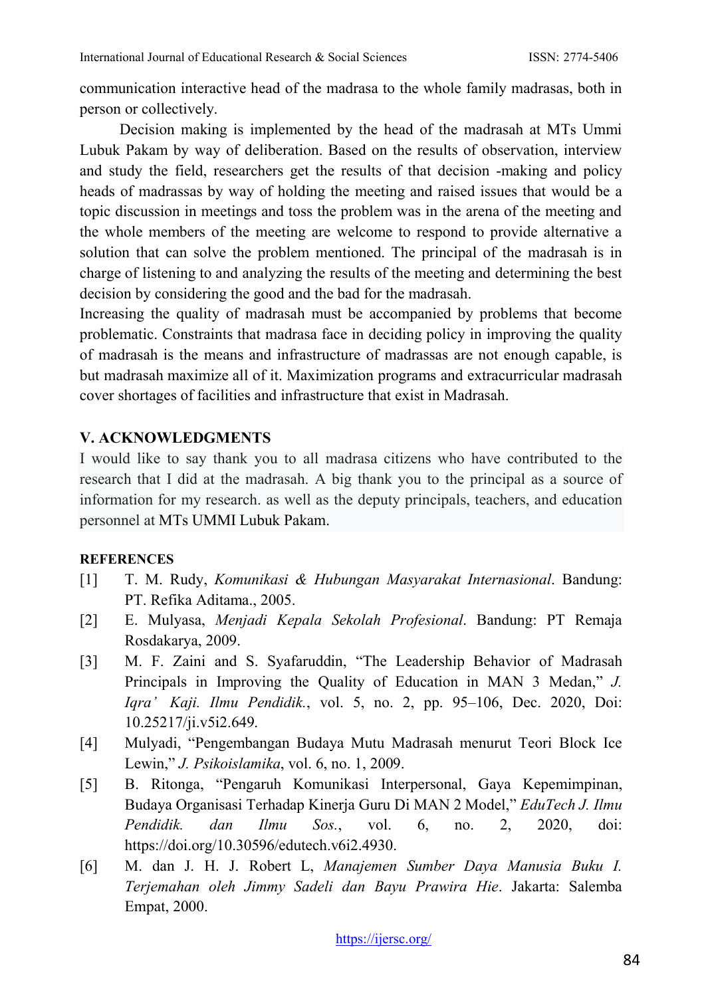communication interactive head of the madrasa to the whole family madrasas, both in person or collectively.

Decision making is implemented by the head of the madrasah at MTs Ummi Lubuk Pakam by way of deliberation. Based on the results of observation, interview and study the field, researchers get the results of that decision -making and policy heads of madrassas by way of holding the meeting and raised issues that would be a topic discussion in meetings and toss the problem was in the arena of the meeting and the whole members of the meeting are welcome to respond to provide alternative a solution that can solve the problem mentioned. The principal of the madrasah is in charge of listening to and analyzing the results of the meeting and determining the best decision by considering the good and the bad for the madrasah.

Increasing the quality of madrasah must be accompanied by problems that become problematic. Constraints that madrasa face in deciding policy in improving the quality of madrasah is the means and infrastructure of madrassas are not enough capable, is but madrasah maximize all of it. Maximization programs and extracurricular madrasah cover shortages of facilities and infrastructure that exist in Madrasah.

### **V. ACKNOWLEDGMENTS**

I would like to say thank you to all madrasa citizens who have contributed to the research that I did at the madrasah. A big thank you to the principal as a source of information for my research. as well as the deputy principals, teachers, and education personnel at MTs UMMI Lubuk Pakam.

### **REFERENCES**

- [1] T. M. Rudy, *Komunikasi & Hubungan Masyarakat Internasional*. Bandung: PT. Refika Aditama., 2005.
- [2] E. Mulyasa, *Menjadi Kepala Sekolah Profesional*. Bandung: PT Remaja Rosdakarya, 2009.
- [3] M. F. Zaini and S. Syafaruddin, "The Leadership Behavior of Madrasah Principals in Improving the Quality of Education in MAN 3 Medan," *J. Iqra' Kaji. Ilmu Pendidik.*, vol. 5, no. 2, pp. 95–106, Dec. 2020, Doi: 10.25217/ji.v5i2.649.
- [4] Mulyadi, "Pengembangan Budaya Mutu Madrasah menurut Teori Block Ice Lewin," *J. Psikoislamika*, vol. 6, no. 1, 2009.
- [5] B. Ritonga, "Pengaruh Komunikasi Interpersonal, Gaya Kepemimpinan, Budaya Organisasi Terhadap Kinerja Guru Di MAN 2 Model," *EduTech J. Ilmu Pendidik. dan Ilmu Sos.*, vol. 6, no. 2, 2020, doi: https://doi.org/10.30596/edutech.v6i2.4930.
- [6] M. dan J. H. J. Robert L, *Manajemen Sumber Daya Manusia Buku I. Terjemahan oleh Jimmy Sadeli dan Bayu Prawira Hie*. Jakarta: Salemba Empat, 2000.